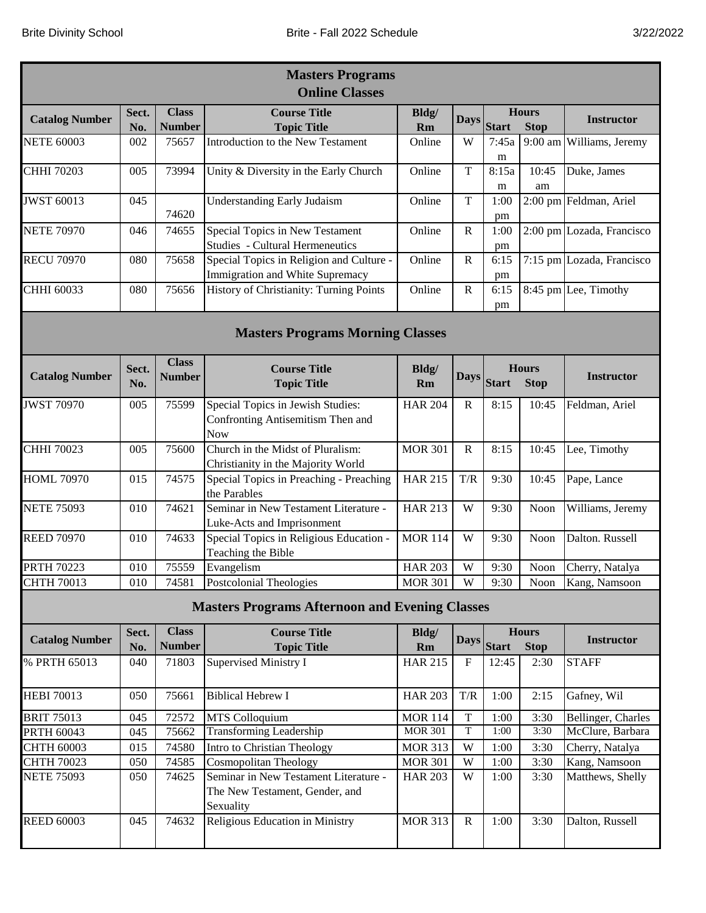| <b>Masters Programs</b>                 |                                                                                                                                           |                               |                                                                                      |                    |                |              |                             |                           |  |  |  |
|-----------------------------------------|-------------------------------------------------------------------------------------------------------------------------------------------|-------------------------------|--------------------------------------------------------------------------------------|--------------------|----------------|--------------|-----------------------------|---------------------------|--|--|--|
|                                         |                                                                                                                                           |                               | <b>Online Classes</b>                                                                |                    |                |              |                             |                           |  |  |  |
| <b>Catalog Number</b>                   | Sect.<br>No.                                                                                                                              | <b>Class</b><br><b>Number</b> | <b>Course Title</b><br><b>Topic Title</b>                                            | Bldg/<br><b>Rm</b> | <b>Days</b>    | <b>Start</b> | <b>Hours</b><br><b>Stop</b> | <b>Instructor</b>         |  |  |  |
| <b>NETE 60003</b>                       | 002                                                                                                                                       | 75657                         | Introduction to the New Testament                                                    | Online             | W              | 7:45a        |                             | 9:00 am Williams, Jeremy  |  |  |  |
|                                         |                                                                                                                                           |                               |                                                                                      |                    |                | m            |                             |                           |  |  |  |
| CHHI 70203                              | 005                                                                                                                                       | 73994                         | Unity & Diversity in the Early Church                                                | Online             | $\mathbf T$    | 8:15a        | 10:45                       | Duke, James               |  |  |  |
|                                         |                                                                                                                                           |                               |                                                                                      |                    |                | m            | am                          |                           |  |  |  |
| <b>JWST 60013</b>                       | 045                                                                                                                                       | 74620                         | <b>Understanding Early Judaism</b>                                                   | Online             | $\mathbf T$    | 1:00<br>pm   |                             | 2:00 pm Feldman, Ariel    |  |  |  |
| <b>NETE 70970</b>                       | 046                                                                                                                                       | 74655                         | Special Topics in New Testament<br>Studies - Cultural Hermeneutics                   | Online             | $\mathbb{R}$   | 1:00<br>pm   |                             | 2:00 pm Lozada, Francisco |  |  |  |
| <b>RECU 70970</b>                       | 080                                                                                                                                       | 75658                         | Special Topics in Religion and Culture -<br>Immigration and White Supremacy          | Online             | $\mathbb{R}$   | 6:15<br>pm   |                             | 7:15 pm Lozada, Francisco |  |  |  |
| CHHI 60033                              | 080                                                                                                                                       | 75656                         | History of Christianity: Turning Points                                              | Online             | $\mathbb{R}$   | 6:15<br>pm   |                             | 8:45 pm Lee, Timothy      |  |  |  |
| <b>Masters Programs Morning Classes</b> |                                                                                                                                           |                               |                                                                                      |                    |                |              |                             |                           |  |  |  |
| <b>Catalog Number</b>                   | Sect.<br>No.                                                                                                                              | <b>Class</b><br>Number        | <b>Course Title</b><br><b>Topic Title</b>                                            | Bldg/<br>Rm        | <b>Days</b>    | <b>Start</b> | <b>Hours</b><br><b>Stop</b> | <b>Instructor</b>         |  |  |  |
| <b>JWST 70970</b>                       | 005                                                                                                                                       | 75599                         | Special Topics in Jewish Studies:<br>Confronting Antisemitism Then and<br><b>Now</b> | <b>HAR 204</b>     | ${\bf R}$      | 8:15         | 10:45                       | Feldman, Ariel            |  |  |  |
| CHHI 70023                              | 005                                                                                                                                       | 75600                         | Church in the Midst of Pluralism:<br>Christianity in the Majority World              | <b>MOR 301</b>     | $\mathbf R$    | 8:15         | 10:45                       | Lee, Timothy              |  |  |  |
| <b>HOML 70970</b>                       | 015                                                                                                                                       | 74575                         | Special Topics in Preaching - Preaching<br>the Parables                              | <b>HAR 215</b>     | T/R            | 9:30         | 10:45                       | Pape, Lance               |  |  |  |
| <b>NETE 75093</b>                       | 010                                                                                                                                       | 74621                         | Seminar in New Testament Literature -<br>Luke-Acts and Imprisonment                  | <b>HAR 213</b>     | W              | 9:30         | Noon                        | Williams, Jeremy          |  |  |  |
| <b>REED 70970</b>                       | 010                                                                                                                                       | 74633                         | Special Topics in Religious Education -<br>Teaching the Bible                        | <b>MOR 114</b>     | W              | 9:30         | Noon                        | Dalton. Russell           |  |  |  |
| <b>PRTH 70223</b>                       | 010                                                                                                                                       | 75559                         | Evangelism                                                                           | <b>HAR 203</b>     | W              | 9:30         | Noon                        | Cherry, Natalya           |  |  |  |
| <b>CHTH 70013</b>                       |                                                                                                                                           |                               |                                                                                      |                    |                |              |                             |                           |  |  |  |
|                                         | MOR 301 W   9:30   Noon   Kang, Namsoon<br>010   74581   Postcolonial Theologies<br><b>Masters Programs Afternoon and Evening Classes</b> |                               |                                                                                      |                    |                |              |                             |                           |  |  |  |
| <b>Catalog Number</b>                   | Sect.<br>No.                                                                                                                              | <b>Class</b><br><b>Number</b> | <b>Course Title</b><br><b>Topic Title</b>                                            | Bldg/<br>Rm        | <b>Days</b>    | <b>Start</b> | <b>Hours</b><br><b>Stop</b> | <b>Instructor</b>         |  |  |  |
| % PRTH 65013                            | 040                                                                                                                                       | 71803                         | <b>Supervised Ministry I</b>                                                         | <b>HAR 215</b>     | $\mathbf F$    | 12:45        | 2:30                        | <b>STAFF</b>              |  |  |  |
| <b>HEBI 70013</b>                       | 050                                                                                                                                       | 75661                         | <b>Biblical Hebrew I</b>                                                             | <b>HAR 203</b>     | T/R            | 1:00         | 2:15                        | Gafney, Wil               |  |  |  |
| <b>BRIT 75013</b>                       | 045                                                                                                                                       | 72572                         | MTS Colloquium                                                                       | <b>MOR 114</b>     | $\mathbf T$    | 1:00         | 3:30                        | Bellinger, Charles        |  |  |  |
| <b>PRTH 60043</b>                       | 045                                                                                                                                       | 75662                         | <b>Transforming Leadership</b>                                                       | <b>MOR 301</b>     | $\overline{T}$ | 1:00         | 3:30                        | McClure, Barbara          |  |  |  |
| CHTH 60003                              | 015                                                                                                                                       | 74580                         | Intro to Christian Theology                                                          | <b>MOR 313</b>     | W              | 1:00         | 3:30                        | Cherry, Natalya           |  |  |  |
| <b>CHTH 70023</b>                       | 050                                                                                                                                       | 74585                         | <b>Cosmopolitan Theology</b>                                                         | <b>MOR 301</b>     | W              | 1:00         | 3:30                        | Kang, Namsoon             |  |  |  |
| <b>NETE 75093</b>                       | 050                                                                                                                                       | 74625                         | Seminar in New Testament Literature -<br>The New Testament, Gender, and<br>Sexuality | <b>HAR 203</b>     | W              | 1:00         | 3:30                        | Matthews, Shelly          |  |  |  |
| <b>REED 60003</b>                       | 045                                                                                                                                       | 74632                         | Religious Education in Ministry                                                      | <b>MOR 313</b>     | $\mathbf R$    | 1:00         | 3:30                        | Dalton, Russell           |  |  |  |